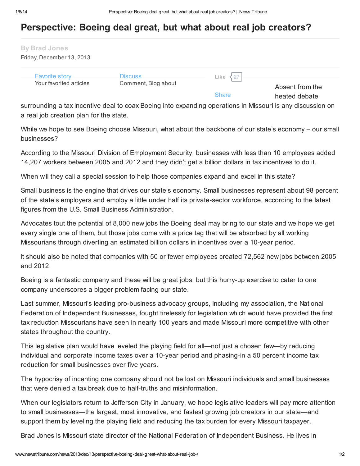## Perspective: Boeing deal great, but what about real job creators?

| <b>By Brad Jones</b><br>Friday, December 13, 2013 |                                |                        |                                  |
|---------------------------------------------------|--------------------------------|------------------------|----------------------------------|
| <b>Favorite story</b><br>Your favorited articles  | Discuss<br>Comment, Blog about | $\frac{27}{2}$<br>Like |                                  |
|                                                   |                                | <b>Share</b>           | Absent from the<br>heated debate |

surrounding a tax incentive deal to coax Boeing into expanding operations in Missouri is any discussion on a real job creation plan for the state.

While we hope to see Boeing choose Missouri, what about the backbone of our state's economy – our small businesses?

According to the Missouri Division of Employment Security, businesses with less than 10 employees added 14,207 workers between 2005 and 2012 and they didn't get a billion dollars in tax incentives to do it.

When will they call a special session to help those companies expand and excel in this state?

Small business is the engine that drives our state's economy. Small businesses represent about 98 percent of the state's employers and employ a little under half its private-sector workforce, according to the latest figures from the U.S. Small Business Administration.

Advocates tout the potential of 8,000 new jobs the Boeing deal may bring to our state and we hope we get every single one of them, but those jobs come with a price tag that will be absorbed by all working Missourians through diverting an estimated billion dollars in incentives over a 10-year period.

It should also be noted that companies with 50 or fewer employees created 72,562 new jobs between 2005 and 2012.

Boeing is a fantastic company and these will be great jobs, but this hurry-up exercise to cater to one company underscores a bigger problem facing our state.

Last summer, Missouri's leading pro-business advocacy groups, including my association, the National Federation of Independent Businesses, fought tirelessly for legislation which would have provided the first tax reduction Missourians have seen in nearly 100 years and made Missouri more competitive with other states throughout the country.

This legislative plan would have leveled the playing field for all—not just a chosen few—by reducing individual and corporate income taxes over a 10-year period and phasing-in a 50 percent income tax reduction for small businesses over five years.

The hypocrisy of incenting one company should not be lost on Missouri individuals and small businesses that were denied a tax break due to half-truths and misinformation.

When our legislators return to Jefferson City in January, we hope legislative leaders will pay more attention to small businesses—the largest, most innovative, and fastest growing job creators in our state—and support them by leveling the playing field and reducing the tax burden for every Missouri taxpayer.

Brad Jones is Missouri state director of the National Federation of Independent Business. He lives in